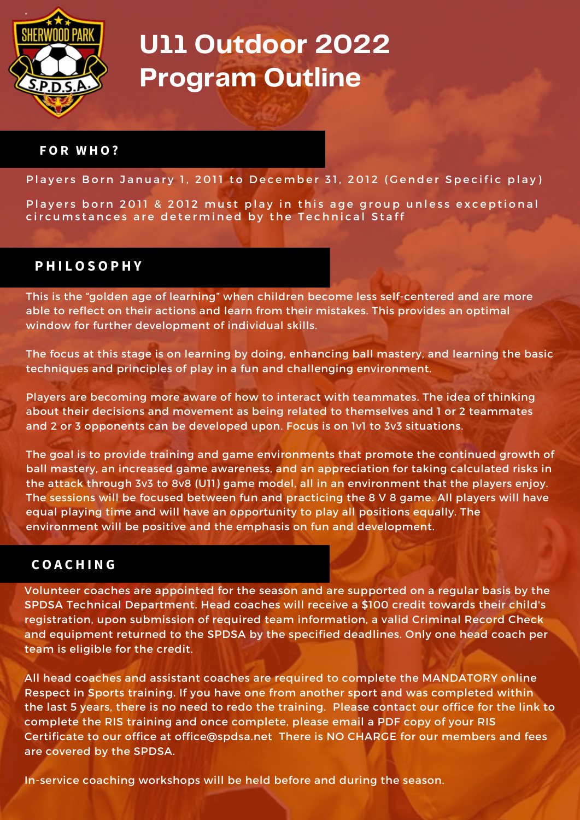

#### **F O R W H O ?**

Players Born January 1, 2011 to December 31, 2012 (Gender Specific play)

Players born 2011 & 2012 must play in this age group unless exceptional circumstances are determined by the Technical Staff

## **P H I L O S O P H Y**

This is the "golden age of learning" when children become less self-centered and are more able to reflect on their actions and learn from their mistakes. This provides an optimal window for further development of individual skills.

The focus at this stage is on learning by doing, enhancing ball mastery, and learning the basic techniques and principles of play in a fun and challenging environment.

Players are becoming more aware of how to interact with teammates. The idea of thinking about their decisions and movement as being related to themselves and 1 or 2 teammates and 2 or 3 opponents can be developed upon. Focus is on 1v1 to 3v3 situations.

The goal is to provide training and game environments that promote the continued growth of ball mastery, an increased game awareness, and an appreciation for taking calculated risks in the attack through 3v3 to 8v8 (U11) game model, all in an environment that the players enjoy. The sessions will be focused between fun and practicing the 8 V 8 game. All players will have equal playing time and will have an opportunity to play all positions equally. The environment will be positive and the emphasis on fun and development.

## **C O A C H I N G**

Volunteer coaches are appointed for the season and are supported on a regular basis by the SPDSA Technical Department. Head coaches will receive a \$100 credit towards their child's registration, upon submission of required team information, a valid Criminal Record Check and equipment returned to the SPDSA by the specified deadlines. Only one head coach per team is eligible for the credit.

All head coaches and assistant coaches are required to complete the MANDATORY online Respect in Sports training. If you have one from another sport and was completed within the last 5 years, there is no need to redo the training. Please contact our office for the link to complete the RIS training and once complete, please email a PDF copy of your RIS Certificate to our office at [office@spdsa.net](mailto:office@spdsa.net) There is NO CHARGE for our members and fees are covered by the SPDSA.

In-service coaching workshops will be held before and during the season.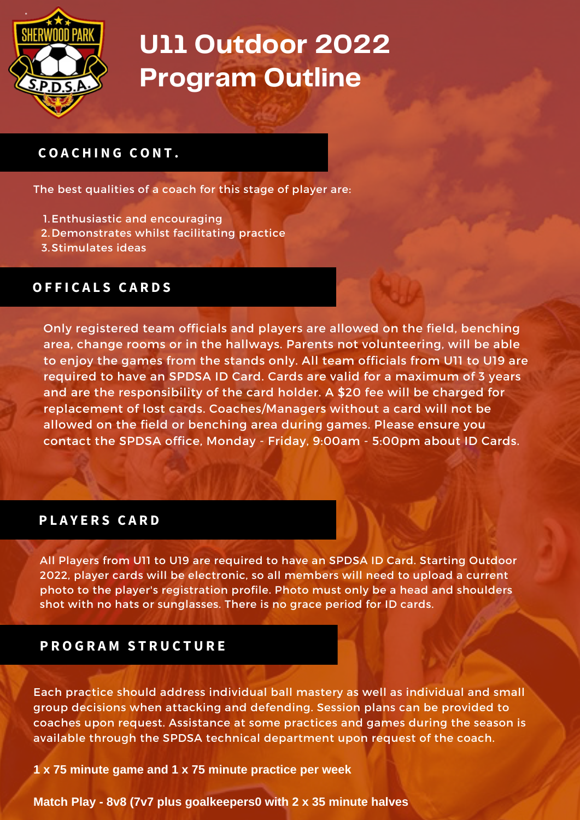

# **C O A C H I N G C O N T .**

The best qualities of a coach for this stage of player are:

- 1. Enthusiastic and encouraging
- 2. Demonstrates whilst facilitating practice
- 3. Stimulates ideas

### **O F F I C A L S C A R D S**

Only registered team officials and players are allowed on the field, benching area, change rooms or in the hallways. Parents not volunteering, will be able to enjoy the games from the stands only. All team officials from U11 to U19 are required to have an SPDSA ID Card. Cards are valid for a maximum of 3 years and are the responsibility of the card holder. A \$20 fee will be charged for replacement of lost cards. Coaches/Managers without a card will not be allowed on the field or benching area during games. Please ensure you contact the SPDSA office, Monday - Friday, 9:00am - 5:00pm about ID Cards.

### **P L A Y E R S C A R D**

All Players from U11 to U19 are required to have an SPDSA ID Card. Starting Outdoor 2022, player cards will be electronic, so all members will need to upload a current photo to the player's registration profile. Photo must only be a head and shoulders shot with no hats or sunglasses. There is no grace period for ID cards.

### **P R O G R A M S T R U C T U R E**

Each practice should address individual ball mastery as well as individual and small group decisions when attacking and defending. Session plans can be provided to coaches upon request. Assistance at some practices and games during the season is available through the SPDSA technical department upon request of the coach.

**1 x 75 minute game and 1 x 75 minute practice per week**

**Match Play - 8v8 (7v7 plus goalkeepers0 with 2 x 35 minute halves**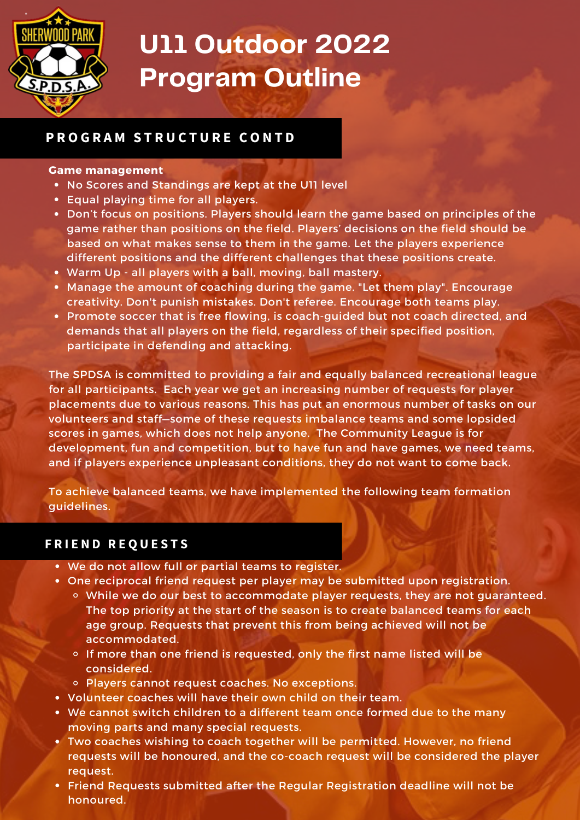

## **P R O G R A M S T R U C T U R E C O N T D**

#### **Game management**

- No Scores and Standings are kept at the U11 level
- Equal playing time for all players.
- Don't focus on positions. Players should learn the game based on principles of the game rather than positions on the field. Players' decisions on the field should be based on what makes sense to them in the game. Let the players experience different positions and the different challenges that these positions create.
- Warm Up all players with a ball, moving, ball mastery.
- Manage the amount of coaching during the game. "Let them play". Encourage creativity. Don't punish mistakes. Don't referee. Encourage both teams play.
- Promote soccer that is free flowing, is coach-guided but not coach directed, and demands that all players on the field, regardless of their specified position, participate in defending and attacking.

The SPDSA is committed to providing a fair and equally balanced recreational league for all participants. Each year we get an increasing number of requests for player placements due to various reasons. This has put an enormous number of tasks on our volunteers and staff—some of these requests imbalance teams and some lopsided scores in games, which does not help anyone. The Community League is for development, fun and competition, but to have fun and have games, we need teams, and if players experience unpleasant conditions, they do not want to come back.

To achieve balanced teams, we have implemented the following team formation guidelines.

### **F R I E N D R E Q U E S T S**

- We do not allow full or partial teams to register.
- One reciprocal friend request per player may be submitted upon registration.
	- While we do our best to accommodate player requests, they are not guaranteed. The top priority at the start of the season is to create balanced teams for each age group. Requests that prevent this from being achieved will not be accommodated.
	- $\circ$  If more than one friend is requested, only the first name listed will be considered.
	- Players cannot request coaches. No exceptions.
- Volunteer coaches will have their own child on their team.
- We cannot switch children to a different team once formed due to the many moving parts and many special requests.
- Two coaches wishing to coach together will be permitted. However, no friend requests will be honoured, and the co-coach request will be considered the player request.
- Friend Requests submitted after the Regular Registration deadline will not be honoured.